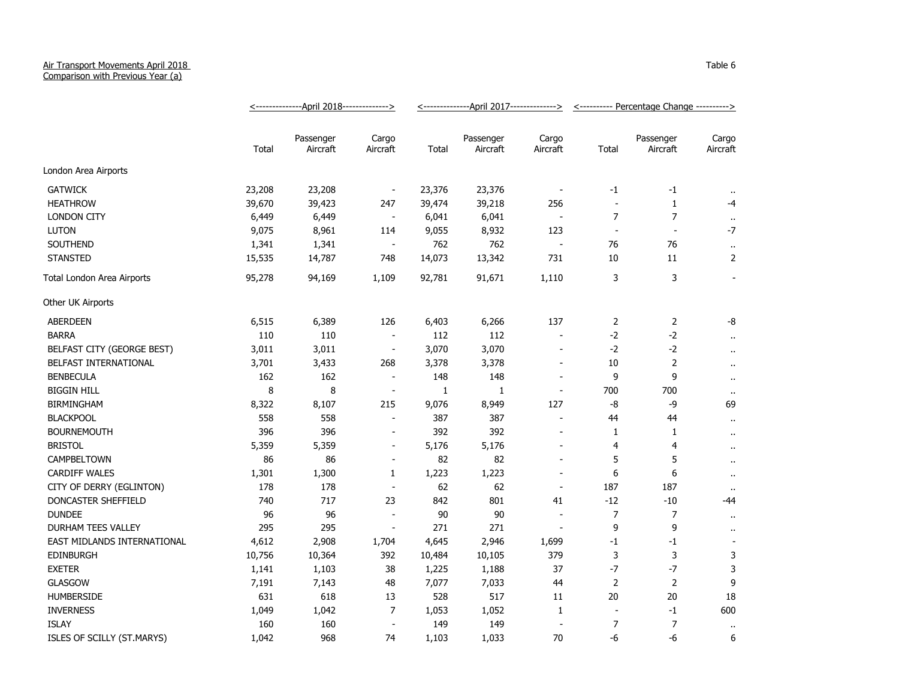## Air Transport Movements April 2018 Comparison with Previous Year (a)

<--------------April 2018--------------> <--------------April 2017--------------> <---------- Percentage Change ----------> Total Passenger Aircraft Cargo Aircraft Total Passenger Aircraft Cargo Aircraft Total Passenger Aircraft **Cargo** Aircraft London Area Airports GATWICK 23,208 23,208 - 23,376 23,376 - -1 .. HEATHROW 39,670 39,423 247 39,474 39,218 256 - 1 -4 LONDON CITY 6,449 6,449 - 6,041 6,041 - 7 7 .. LUTON 9,075 8,961 114 9,055 8,932 123 - - -7 SOUTHEND 1,341 1,341 - 762 76 76 .. STANSTED 15,535 14,787 748 14,073 13,342 731 10 11 2 Total London Area Airports **95,278** 94,169 1,109 92,781 91,671 1,110 3 3 3 Other UK Airports ABERDEEN 6,515 6,389 126 6,403 6,266 137 2 2 -8 BARRA 110 110 - 112 112 - -2 -2 .. BELFAST CITY (GEORGE BEST) 3,011 3,011 3,011 - 3,070 3,070 - - 2 -2 ... BELFAST INTERNATIONAL 3,701 3,433 268 3,378 3,378 - 10 2 .. BENBECULA 162 162 - 148 148 - 9 9 .. BIGGIN HILL 8 8 - 1 1 - 700 700 .. BIRMINGHAM 8,322 8,107 215 9,076 8,949 127 -8 -9 69 BLACKPOOL 558 558 - 387 387 - 44 44 .. BOURNEMOUTH 396 396 - 392 392 - 1 1 .. BRISTOL 5,359 5,359 - 5,176 5,176 - 4 4 .. CAMPBELTOWN 86 86 - 82 82 - 5 5 .. CARDIFF WALES 1,301 1,300 1 1,223 1,223 - 6 6 .. CITY OF DERRY (EGLINTON) 178 178 62 62 - 187 187 .. DONCASTER SHEFFIELD 740 717 23 842 801 41 -12 -10 -44 DUNDEE 96 96 - 90 90 - 7 7 .. DURHAM TEES VALLEY 295 295 - 271 271 - 9 9 .. EAST MIDLANDS INTERNATIONAL  $\begin{array}{cccc} 4,612 & 2,908 & 1,704 & 4,645 & 2,946 & 1,699 & -1 & -1 \end{array}$ EDINBURGH 10,756 10,364 392 10,484 10,105 379 3 3 3 EXETER 1,141 1,103 38 1,225 1,188 37 -7 -7 3 GLASGOW 7,191 7,143 48 7,077 7,033 44 2 2 9 HUMBERSIDE 631 618 13 528 517 11 20 20 18 INVERNESS 1,049 1,042 7 1,053 1,052 1 - -1 600 ISLAY 160 160 - 149 149 - 7 7 ..

ISLES OF SCILLY (ST.MARYS) 1,042 968 74 1,103 1,033 70 -6 -6 6